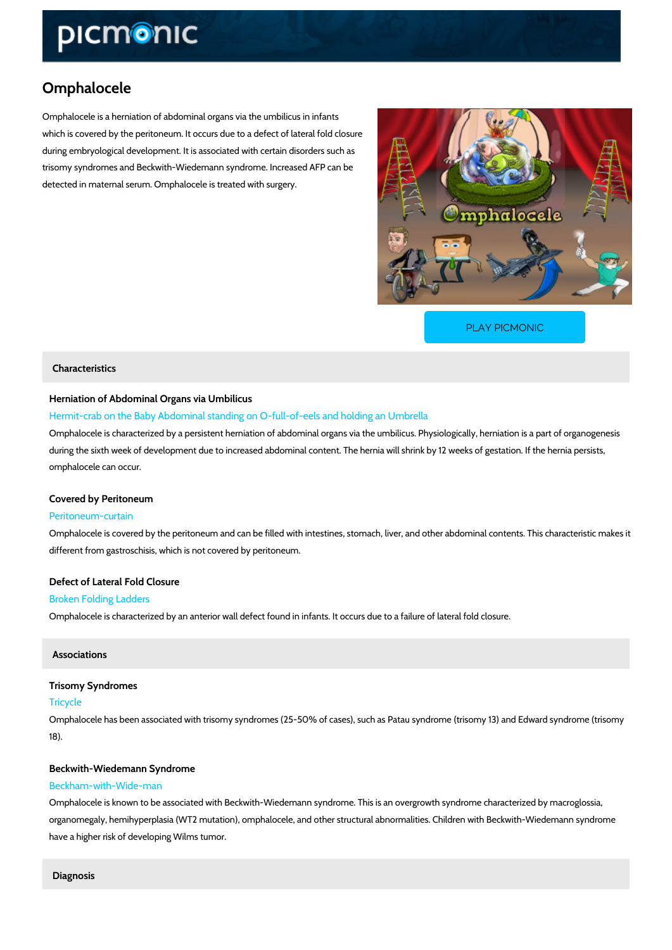# Omphalocele

Omphalocele is a herniation of abdominal organs via the umbilicus in infants which is covered by the peritoneum. It occurs due to a defect of lateral fold closure during embryological development. It is associated with certain disorders such as trisomy syndromes and Beckwith-Wiedemann syndrome. Increased AFP can be detected in maternal serum. Omphalocele is treated with surgery.

[PLAY PICMONIC](https://www.picmonic.com/learn/omphalocele_50408?utm_source=downloadable_content&utm_medium=distributedcontent&utm_campaign=pathways_pdf&utm_content=Omphalocele&utm_ad_group=leads&utm_market=all)

# Characteristics

### Herniation of Abdominal Organs via Umbilicus

Hermit-crab on the Baby Abdominal standing on O-full-of-eels and holding an Umbrella Omphalocele is characterized by a persistent herniation of abdominal organs via the umbilicus during the sixth week of development due to increased abdominal content. The hernia will shr omphalocele can occur.

# Covered by Peritoneum

#### Peritoneum-curtain

Omphalocele is covered by the peritoneum and can be filled with intestines, stomach, liver, and different from gastroschisis, which is not covered by peritoneum.

### Defect of Lateral Fold Closure

### Broken Folding Ladders

Omphalocele is characterized by an anterior wall defect found in infants. It occurs due to a fa

### Associations

# Trisomy Syndromes Tricycle

Omphalocele has been associated with trisomy syndromes (25-50% of cases), such as Patau s 18).

#### Beckwith-Wiedemann Syndrome

### Beckham-with-Wide-man

Omphalocele is known to be associated with Beckwith-Wiedemann syndrome. This is an overgr organomegaly, hemihyperplasia (WT2 mutation), omphalocele, and other structural abnormaliti have a higher risk of developing Wilms tumor.